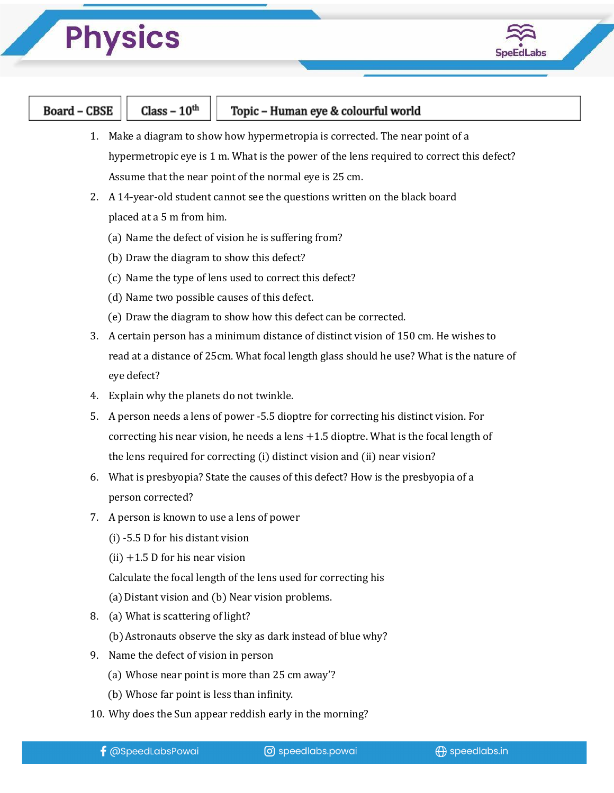## **Physics**



| Board – $CBSE$ | Class – $10^{\text{th}}$ |  |
|----------------|--------------------------|--|
|                |                          |  |

- 1. Make a diagram to show how hypermetropia is corrected. The near point of a hypermetropic eye is 1 m. What is the power of the lens required to correct this defect? Assume that the near point of the normal eye is 25 cm.
- 2. A 14-year-old student cannot see the questions written on the black board placed at a 5 m from him.
	- (a) Name the defect of vision he is suffering from?
	- (b) Draw the diagram to show this defect?
	- (c) Name the type of lens used to correct this defect?
	- (d) Name two possible causes of this defect.
	- (e) Draw the diagram to show how this defect can be corrected.
- 3. A certain person has a minimum distance of distinct vision of 150 cm. He wishes to read at a distance of 25cm. What focal length glass should he use? What is the nature of eye defect?
- 4. Explain why the planets do not twinkle.
- 5. A person needs a lens of power -5.5 dioptre for correcting his distinct vision. For correcting his near vision, he needs a lens  $+1.5$  dioptre. What is the focal length of the lens required for correcting (i) distinct vision and (ii) near vision?
- 6. What is presbyopia? State the causes of this defect? How is the presbyopia of a person corrected?
- 7. A person is known to use a lens of power
	- (i) -5.5 D for his distant vision
	- $(ii) +1.5 D$  for his near vision
	- Calculate the focal length of the lens used for correcting his
	- (a)Distant vision and (b) Near vision problems.
- 8. (a) What is scattering of light?
	- (b)Astronauts observe the sky as dark instead of blue why?
- 9. Name the defect of vision in person
	- (a) Whose near point is more than 25 cm away'?
	- (b) Whose far point is less than infinity.
- 10. Why does the Sun appear reddish early in the morning?